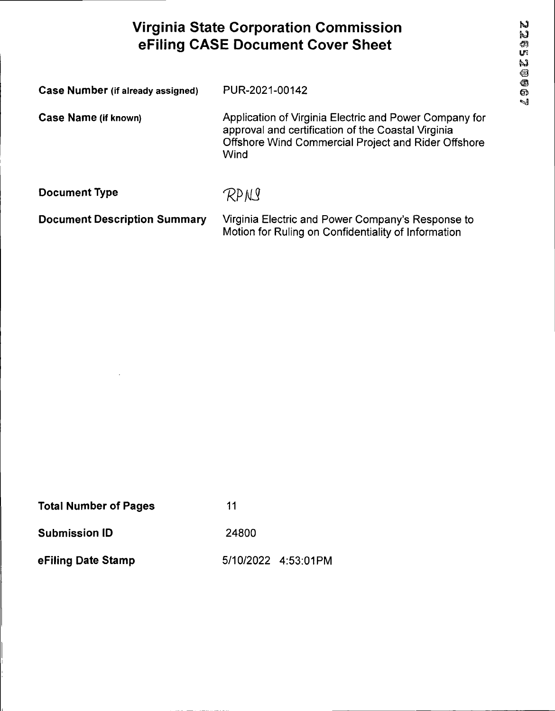# **Virginia State Corporation Commission eFiling CASE Document Cover Sheet** in

| Case Number (if already assigned)   | PUR-2021-00142                                                                                                                                                              |
|-------------------------------------|-----------------------------------------------------------------------------------------------------------------------------------------------------------------------------|
| Case Name (if known)                | Application of Virginia Electric and Power Company for<br>approval and certification of the Coastal Virginia<br>Offshore Wind Commercial Project and Rider Offshore<br>Wind |
| <b>Document Type</b>                | RPNI                                                                                                                                                                        |
| <b>Document Description Summary</b> | Virginia Electric and Power Company's Response to                                                                                                                           |

Motion for Ruling on Confidentiality of Information

| <b>Total Number of Pages</b> | 11                  |
|------------------------------|---------------------|
| <b>Submission ID</b>         | 24800               |
| eFiling Date Stamp           | 5/10/2022 4:53:01PM |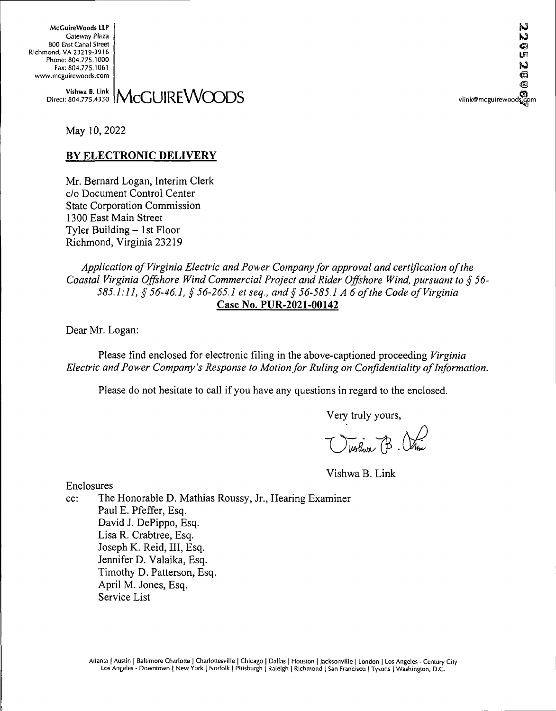McGuireWoods LLP Gateway Plaza 800 East Canal Street Richmond, VA 23219-3916 Phone: 804.775.1000 Fax: 804.775.1061 www.mcguirewoods.com

> $\frac{W\text{ishwa B. Link}}{\text{804.775.4330}}$  McGUIREWOODS vlink@mcguirewoods.com Direct: 804.775.4330

M  $\bullet$ **ugg** 

hJ

May 10, 2022

## **BY ELECTRONIC DELIVERY**

Mr. Bernard Logan, Interim Clerk c/o Document Control Center State Corporation Commission 1300 East Main Street Tyler Building – 1st Floor Richmond, Virginia 23219

*Application ofVirginia Electric andPower Companyfor approval and certification ofthe Coastal Virginia Offshore Wind Commercial Project and Rider Offshore Wind, pursuant to § 56- 585.1:11, § 56-46.1, § 56-265.1 et seq., and § 56-585.1 A 6 ofthe Code ofVirginia* **Case No. PUR-2021-00142**

Dear Mr. Logan:

Please find enclosed for electronic filing in the above-captioned proceeding *Virginia Electric andPower Company's Response to Motionfor Ruling on Confidentiality ofInformation.*

Please do not hesitate to call if you have any questions in regard to the enclosed.

Very truly yours,

Violence B. Vince

Vishwa B. Link

Enclosures

cc: The Honorable D. Mathias Roussy, Jr., Hearing Examiner Paul E. Pfeffer, Esq. David J. DePippo, Esq. Lisa R. Crabtree, Esq. Joseph K. Reid, III, Esq. Jennifer D. Valaika, Esq. Timothy D. Patterson, Esq. April M. Jones, Esq. Service List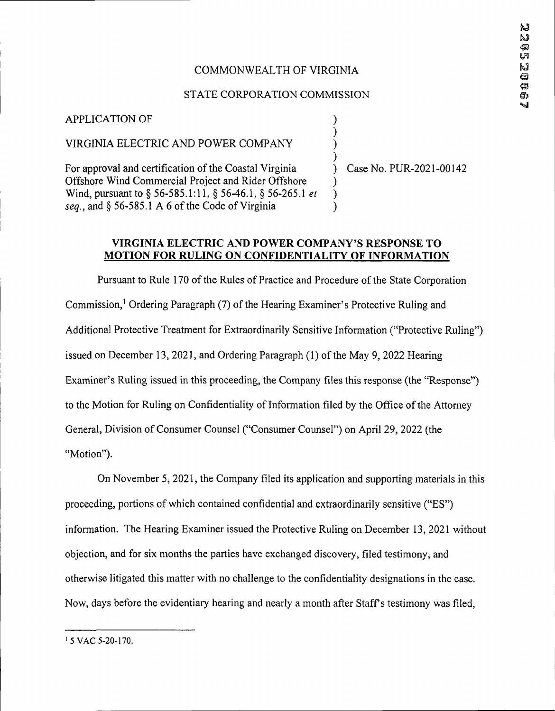# COMMONWEALTH OF VIRGINIA

# STATE CORPORATION COMMISSION

) ) ) )

) ) )

#### APPLICATION OF

# VIRGINIA ELECTRIC AND POWER COMPANY

For approval and certification of the Coastal Virginia Offshore Wind Commercial Project and Rider Offshore Wind, pursuant to § 56-585.1:11, § 56-46.1, § 56-265.1 *et*  $seq.$ , and  $§$  56-585.1 A 6 of the Code of Virginia

) Case No. PUR-2021-00142

#### **VIRGINIA ELECTRIC AND POWER COMPANY'S RESPONSE TO MOTION FOR RULING ON CONFIDENTIALITY OF INFORMATION**

Pursuant to Rule 170 of the Rules of Practice and Procedure of the State Corporation Commission,<sup>1</sup> Ordering Paragraph (7) of the Hearing Examiner's Protective Ruling and Additional Protective Treatment for Extraordinarily Sensitive Information ("Protective Ruling") issued on December 13, 2021, and Ordering Paragraph (1) of the May 9, 2022 Hearing Examiner's Ruling issued in this proceeding, the Company files this response (the "Response") to the Motion for Ruling on Confidentiality of Information filed by the Office of the Attorney General, Division of Consumer Counsel ("Consumer Counsel") on April 29, 2022 (the "Motion").

On November 5,2021, the Company filed its application and supporting materials in this proceeding, portions of which contained confidential and extraordinarily sensitive ("ES") information. The Hearing Examiner issued the Protective Ruling on December 13, 2021 without objection, and for six months the parties have exchanged discovery, filed testimony, and otherwise litigated this matter with no challenge to the confidentiality designations in the case. Now, days before the evidentiary hearing and nearly a month after Staff's testimony was filed,

<sup>1</sup> 5 VAC 5-20-170.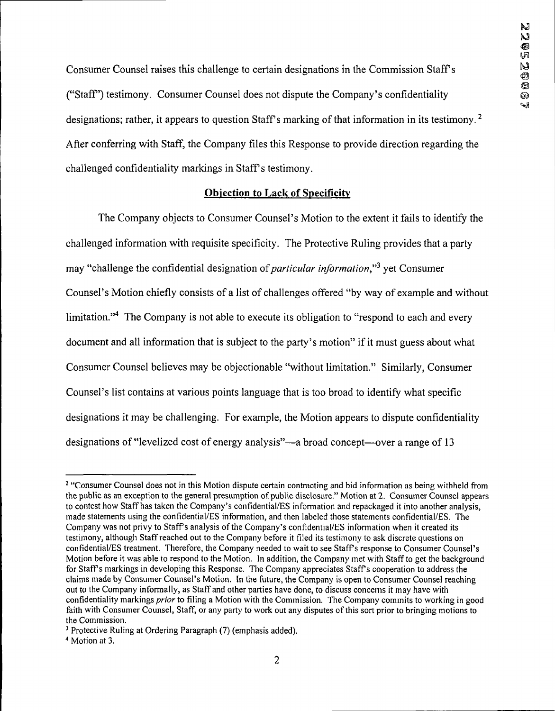Consumer Counsel raises this challenge to certain designations in the Commission Staffs ("Staff') testimony. Consumer Counsel does not dispute the Company's confidentiality designations; rather, it appears to question Staff's marking of that information in its testimony.<sup>2</sup> After conferring with Staff, the Company files this Response to provide direction regarding the challenged confidentiality markings in Staff's testimony.

#### **Objection to Lack of Specificity**

The Company objects to Consumer Counsel's Motion to the extent it fails to identify the challenged information with requisite specificity. The Protective Ruling provides that a party may "challenge the confidential designation of*particular information,"3* yet Consumer Counsel's Motion chiefly consists of a list of challenges offered "by way of example and without limitation."<sup>4</sup> The Company is not able to execute its obligation to "respond to each and every document and all information that is subject to the party's motion" if it must guess about what Consumer Counsel believes may be objectionable "without limitation." Similarly, Consumer Counsel's list contains at various points language that is too broad to identify what specific designations it may be challenging. For example, the Motion appears to dispute confidentiality designations of "levelized cost of energy analysis"—a broad concept—over a range of 13

<sup>&</sup>lt;sup>2</sup> "Consumer Counsel does not in this Motion dispute certain contracting and bid information as being withheld from the public as an exception to the general presumption of public disclosure." Motion at 2. Consumer Counsel appears to contest how Staff has taken the Company's confidential/ES information and repackaged it into another analysis, made statements using the confidential/ES information, and then labeled those statements confidential/ES. The Company was not privy to Staff's analysis of the Company's confidential/ES information when it created its testimony, although Staffreached out to the Company before it filed its testimony to ask discrete questions on confidential/ES treatment. Therefore, the Company needed to wait to see Staffs response to Consumer Counsel's Motion before it was able to respond to the Motion. In addition, the Company met with Staffto get the background for Staffs markings in developing this Response. The Company appreciates Staffs cooperation to address the claims made by Consumer Counsel's Motion. In the future, the Company is open to Consumer Counsel reaching out to the Company informally, as Staff and other parties have done, to discuss concerns it may have with confidentiality markings *prior*to filing a Motion with the Commission. The Company commits to working in good faith with Consumer Counsel, Staff, or any party to work out any disputes of this sort prior to bringing motions to the Commission.

<sup>3</sup> Protective Ruling at Ordering Paragraph (7) (emphasis added).

<sup>4</sup> Motion at 3.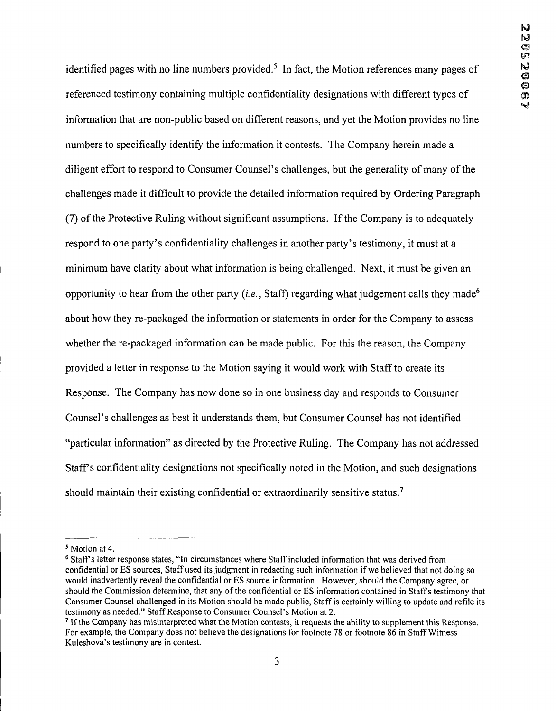identified pages with no line numbers provided.<sup>5</sup> In fact, the Motion references many pages of referenced testimony containing multiple confidentiality designations with different types of information that are non-public based on different reasons, and yet the Motion provides no line numbers to specifically identify the information it contests. The Company herein made a diligent effort to respond to Consumer Counsel's challenges, but the generality of many of the challenges made it difficult to provide the detailed information required by Ordering Paragraph (7) ofthe Protective Ruling without significant assumptions. Ifthe Company is to adequately respond to one party's confidentiality challenges in another party's testimony, it must at a minimum have clarity about what information is being challenged. Next, it must be given an opportunity to hear from the other party  $(i.e., Staff)$  regarding what judgement calls they made<sup>6</sup> about how they re-packaged the information or statements in order for the Company to assess whether the re-packaged information can be made public. For this the reason, the Company provided a letter in response to the Motion saying it would work with Staffto create its Response. The Company has now done so in one business day and responds to Consumer Counsel's challenges as best it understands them, but Consumer Counsel has not identified "particular information" as directed by the Protective Ruling. The Company has not addressed Staff's confidentiality designations not specifically noted in the Motion, and such designations should maintain their existing confidential or extraordinarily sensitive status.<sup>7</sup>

<sup>5</sup> Motion at 4.

<sup>6</sup> Staff's letter response states, "In circumstances where Staffincluded information that was derived from confidential or ES sources, Staff used its judgment in redacting such information if we believed that not doing so would inadvertently reveal the confidential or ES source information. However, should the Company agree, or should the Commission determine, that any of the confidential or ES information contained in Staff's testimony that Consumer Counsel challenged in its Motion should be made public, Staff is certainly willing to update and refile its testimony as needed." Staff Response to Consumer Counsel's Motion at 2.

<sup>7</sup> Ifthe Company has misinterpreted what the Motion contests, it requests the ability to supplement this Response. For example, the Company does not believe the designations for footnote 78 or footnote 86 in StaffWitness Kuleshova's testimony are in contest.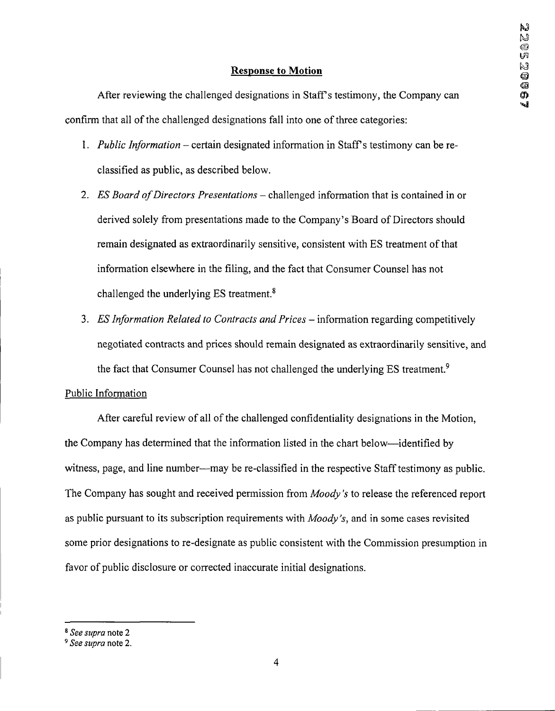#### **Response to Motion**

After reviewing the challenged designations in Staff's testimony, the Company can confirm that all of the challenged designations fall into one of three categories:

- 1. *Public Information -* certain designated information in Staffs testimony can be reclassified as public, as described below.
- 2. *ES Board ofDirectors Presentations-* challenged information that is contained in or derived solely from presentations made to the Company's Board of Directors should remain designated as extraordinarily sensitive, consistent with ES treatment ofthat information elsewhere in the filing, and the fact that Consumer Counsel has not challenged the underlying ES treatment. $8$
- 3. *ES Information Related to Contracts and Prices -*information regarding competitively negotiated contracts and prices should remain designated as extraordinarily sensitive, and the fact that Consumer Counsel has not challenged the underlying ES treatment.<sup>9</sup>

#### Public Information

After careful review of all of the challenged confidentiality designations in the Motion, the Company has determined that the information listed in the chart below—identified by witness, page, and line number—may be re-classified in the respective Staff testimony as public. The Company has sought and received permission from *Moody's* to release the referenced report as public pursuant to its subscription requirements with *Moody's,* and in some cases revisited some prior designations to re-designate as public consistent with the Commission presumption in favor of public disclosure or corrected inaccurate initial designations.

*<sup>8</sup> See supra* note 2

*<sup>9</sup> See supra* note 2.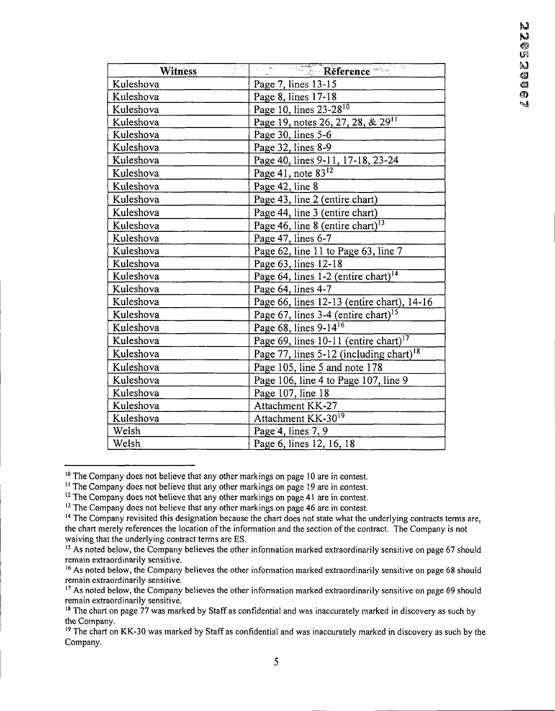| रोग प<br>Witness | Reference                                           |
|------------------|-----------------------------------------------------|
| Kuleshova        | Page 7, lines 13-15                                 |
| Kuleshova        | Page 8, lines 17-18                                 |
| Kuleshova        | Page 10, lines 23-28 <sup>10</sup>                  |
| Kuleshova        | Page 19, notes 26, 27, 28, & 29 <sup>11</sup>       |
| Kuleshova        | Page 30, lines 5-6                                  |
| Kuleshova        | Page 32, lines 8-9                                  |
| Kuleshova        | Page 40, lines 9-11, 17-18, 23-24                   |
| Kuleshova        | Page 41, note $83^{12}$                             |
| Kuleshova        | Page 42, line 8                                     |
| Kuleshova        | Page 43, line 2 (entire chart)                      |
| Kuleshova        | Page 44, line 3 (entire chart)                      |
| Kuleshova        | Page 46, line 8 (entire chart) <sup>13</sup>        |
| Kuleshova        | Page 47, lines 6-7                                  |
| Kuleshova        | Page 62, line 11 to Page 63, line 7                 |
| Kuleshova        | Page 63, lines 12-18                                |
| Kuleshova        | Page 64, lines 1-2 (entire chart) <sup>14</sup>     |
| Kuleshova        | Page 64, lines 4-7                                  |
| Kuleshova        | Page 66, lines 12-13 (entire chart), 14-16          |
| Kuleshova        | Page 67, lines 3-4 (entire chart) <sup>15</sup>     |
| Kuleshova        | Page 68, lines 9-14 <sup>16</sup>                   |
| Kuleshova        | Page 69, lines 10-11 (entire chart) <sup>17</sup>   |
| Kuleshova        | Page 77, lines 5-12 (including chart) <sup>18</sup> |
| Kuleshova        | Page 105, line 5 and note 178                       |
| Kuleshova        | Page 106, line 4 to Page 107, line 9                |
| Kuleshova        | Page 107, line 18                                   |
| Kuleshova        | Attachment KK-27                                    |
| Kuleshova        | Attachment KK-30 <sup>19</sup>                      |
| Welsh            | Page 4, lines 7, 9                                  |
| Welsh            | Page 6, lines 12, 16, 18                            |

<sup>&</sup>lt;sup>10</sup> The Company does not believe that any other markings on page 10 are in contest.

<sup>&</sup>lt;sup>11</sup> The Company does not believe that any other markings on page 19 are in contest.

<sup>&</sup>lt;sup>12</sup> The Company does not believe that any other markings on page 41 are in contest.

<sup>&</sup>lt;sup>13</sup> The Company does not believe that any other markings on page 46 are in contest.

<sup>&</sup>lt;sup>14</sup> The Company revisited this designation because the chart does not state what the underlying contracts terms are, the chart merely references the location ofthe information and the section ofthe contract. The Company is not waiving that the underlying contract terms are ES.

<sup>&</sup>lt;sup>15</sup> As noted below, the Company believes the other information marked extraordinarily sensitive on page 67 should remain extraordinarily sensitive.

<sup>&</sup>lt;sup>16</sup> As noted below, the Company believes the other information marked extraordinarily sensitive on page 68 should remain extraordinarily sensitive.

<sup>&</sup>lt;sup>17</sup> As noted below, the Company believes the other information marked extraordinarily sensitive on page 69 should remain extraordinarily sensitive.

<sup>&</sup>lt;sup>18</sup> The chart on page 77 was marked by Staff as confidential and was inaccurately marked in discovery as such by the Company.

<sup>&</sup>lt;sup>19</sup> The chart on KK-30 was marked by Staff as confidential and was inaccurately marked in discovery as such by the Company.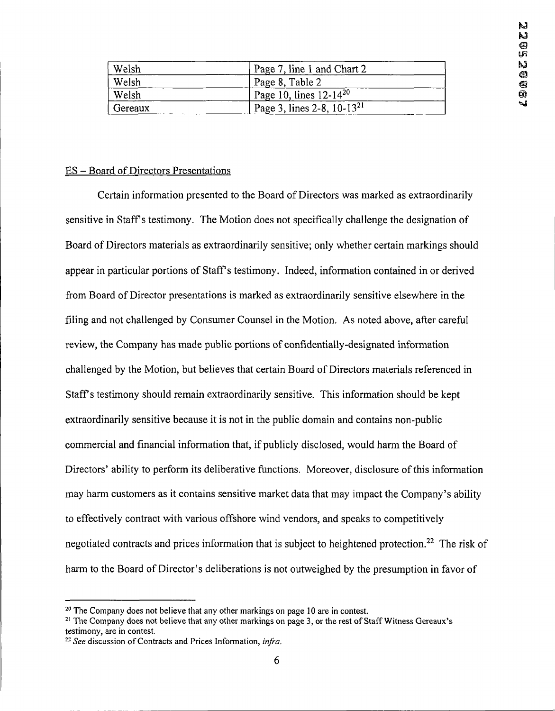| Welsh   | Page 7, line 1 and Chart 2      |
|---------|---------------------------------|
| Welsh   | Page 8, Table 2                 |
| Welsh   | Page 10, lines $12-14^{20}$     |
| Gereaux | Page 3, lines 2-8, $10-13^{21}$ |

#### ES - Board of Directors Presentations

Certain information presented to the Board of Directors was marked as extraordinarily sensitive in Staffs testimony. The Motion does not specifically challenge the designation of Board of Directors materials as extraordinarily sensitive; only whether certain markings should appear in particular portions of Staffs testimony. Indeed, information contained in or derived from Board of Director presentations is marked as extraordinarily sensitive elsewhere in the filing and not challenged by Consumer Counsel in the Motion. As noted above, after careful review, the Company has made public portions of confidentially-designated information challenged by the Motion, but believes that certain Board of Directors materials referenced in Staff's testimony should remain extraordinarily sensitive. This information should be kept extraordinarily sensitive because it is not in the public domain and contains non-public commercial and financial information that, if publicly disclosed, would harm the Board of Directors' ability to perform its deliberative functions. Moreover, disclosure of this information may harm customers as it contains sensitive market data that may impact the Company's ability to effectively contract with various offshore wind vendors, and speaks to competitively negotiated contracts and prices information that is subject to heightened protection.<sup>22</sup> The risk of harm to the Board of Director's deliberations is not outweighed by the presumption in favor of

 $20$  The Company does not believe that any other markings on page 10 are in contest.

<sup>&</sup>lt;sup>21</sup> The Company does not believe that any other markings on page 3, or the rest of Staff Witness Gereaux's testimony, are in contest.

*<sup>22</sup> See* discussion ofContracts and Prices Information, *infra.*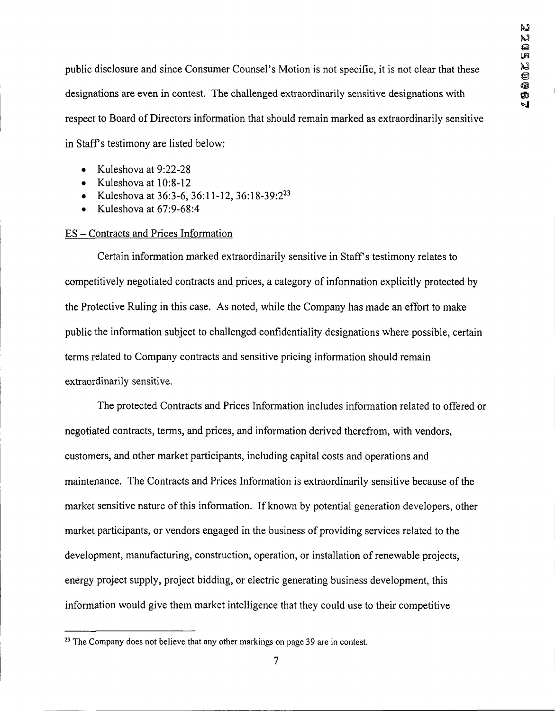public disclosure and since Consumer Counsel's Motion is not specific, it is not clear that these designations are even in contest. The challenged extraordinarily sensitive designations with respect to Board of Directors information that should remain marked as extraordinarily sensitive in Staff's testimony are listed below:

- Kuleshova at 9:22-28
- Kuleshova at 10:8-12
- Kuleshova at 36:3-6, 36:11-12, 36:18-39:2<sup>23</sup>
- Kuleshova at 67:9-68:4

#### ES - Contracts and Prices Information

Certain information marked extraordinarily sensitive in Staffs testimony relates to competitively negotiated contracts and prices, a category of information explicitly protected by the Protective Ruling in this case. As noted, while the Company has made an effort to make public the information subject to challenged confidentiality designations where possible, certain terms related to Company contracts and sensitive pricing information should remain extraordinarily sensitive.

The protected Contracts and Prices Information includes information related to offered or negotiated contracts, terms, and prices, and information derived therefrom, with vendors, customers, and other market participants, including capital costs and operations and maintenance. The Contracts and Prices Information is extraordinarily sensitive because of the market sensitive nature of this information. If known by potential generation developers, other market participants, or vendors engaged in the business of providing services related to the development, manufacturing, construction, operation, or installation of renewable projects, energy project supply, project bidding, or electric generating business development, this information would give them market intelligence that they could use to their competitive

 $23$  The Company does not believe that any other markings on page 39 are in contest.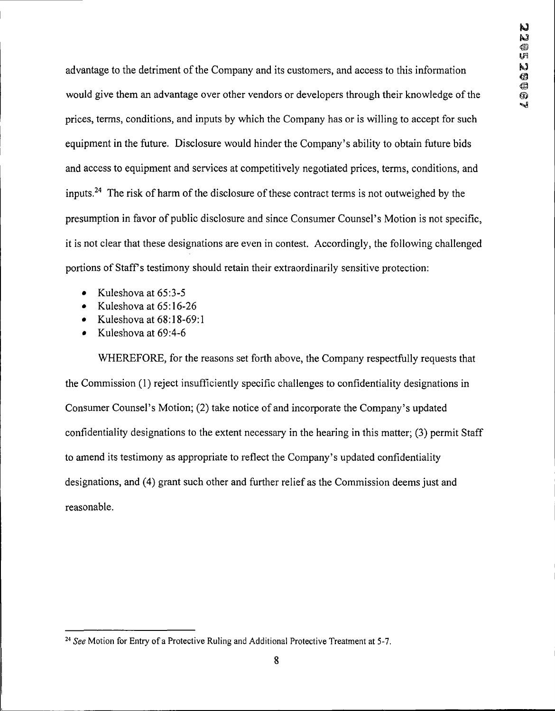advantage to the detriment of the Company and its customers, and access to this information would give them an advantage over other vendors or developers through their knowledge of the prices, terms, conditions, and inputs by which the Company has or is willing to accept for such equipment in the future. Disclosure would hinder the Company's ability to obtain future bids and access to equipment and services at competitively negotiated prices, terms, conditions, and inputs.<sup>24</sup> The risk of harm of the disclosure of these contract terms is not outweighed by the presumption in favor of public disclosure and since Consumer Counsel's Motion is not specific, it is not clear that these designations are even in contest. Accordingly, the following challenged portions of Staff's testimony should retain their extraordinarily sensitive protection:

- $\bullet$  Kuleshova at 65:3-5
- Kuleshova at  $65:16-26$
- $\bullet$  Kuleshova at  $68:18-69:1$
- $\bullet$  Kuleshova at 69:4-6

WHEREFORE, for the reasons set forth above, the Company respectfully requests that the Commission (1) reject insufficiently specific challenges to confidentiality designations in Consumer Counsel's Motion; (2) take notice of and incorporate the Company's updated confidentiality designations to the extent necessary in the hearing in this matter; (3) permit Staff to amend its testimony as appropriate to reflect the Company's updated confidentiality designations, and (4) grant such other and further relief as the Commission deems just and reasonable.

*<sup>24</sup> See* Motion for Entry of a Protective Ruling and Additional Protective Treatment at 5-7.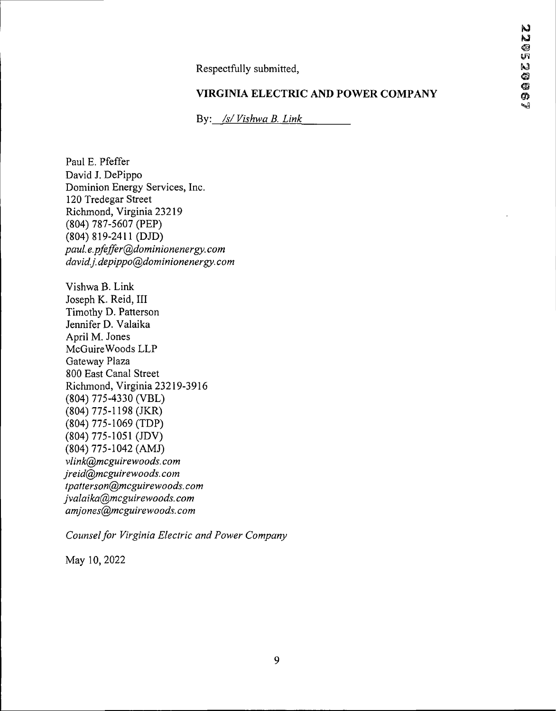Respectfully submitted,

## **VIRGINIA ELECTRIC AND POWER COMPANY**

By: */s/Vishwa B. Link*

Vishwa B. Link Joseph K. Reid, III Timothy D. Patterson Jennifer D. Valaika April M. Jones McGuireWoods LLP Gateway Plaza 800 East Canal Street Richmond, Virginia 23219-3916 (804) 775-4330 (VBL) (804) 775-1198 (JKR) (804) 775-1069 (TDP) (804) 775-1051 (JDV) (804) 775-1042 (AMJ) *vlink@mcguire-woods.com jreid@mcguirewoods, com tpatterson@mcguirewoods.com jvalaika@mcguirewoods.com amjones@,mcguirewoods. com* Paul E. Pfeffer David J. DePippo Dominion Energy Services, Inc. 120 Tredegar Street Richmond, Virginia 23219 (804) 787-5607 (PEP) (804) 819-2411 (DJD) *paul. e.pfeffer@dominionenergy. com david.j.depippo@dominionenergy. com*

*Counselfor Virginia Electric and Power Company*

May 10, 2022